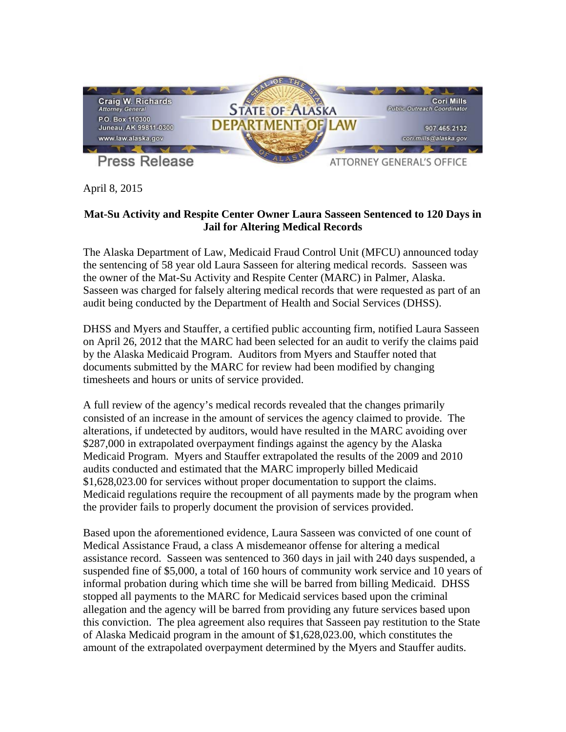

April 8, 2015

## **Mat-Su Activity and Respite Center Owner Laura Sasseen Sentenced to 120 Days in Jail for Altering Medical Records**

The Alaska Department of Law, Medicaid Fraud Control Unit (MFCU) announced today the sentencing of 58 year old Laura Sasseen for altering medical records. Sasseen was the owner of the Mat-Su Activity and Respite Center (MARC) in Palmer, Alaska. Sasseen was charged for falsely altering medical records that were requested as part of an audit being conducted by the Department of Health and Social Services (DHSS).

DHSS and Myers and Stauffer, a certified public accounting firm, notified Laura Sasseen on April 26, 2012 that the MARC had been selected for an audit to verify the claims paid by the Alaska Medicaid Program. Auditors from Myers and Stauffer noted that documents submitted by the MARC for review had been modified by changing timesheets and hours or units of service provided.

A full review of the agency's medical records revealed that the changes primarily consisted of an increase in the amount of services the agency claimed to provide. The alterations, if undetected by auditors, would have resulted in the MARC avoiding over \$287,000 in extrapolated overpayment findings against the agency by the Alaska Medicaid Program. Myers and Stauffer extrapolated the results of the 2009 and 2010 audits conducted and estimated that the MARC improperly billed Medicaid \$1,628,023.00 for services without proper documentation to support the claims. Medicaid regulations require the recoupment of all payments made by the program when the provider fails to properly document the provision of services provided.

Based upon the aforementioned evidence, Laura Sasseen was convicted of one count of Medical Assistance Fraud, a class A misdemeanor offense for altering a medical assistance record. Sasseen was sentenced to 360 days in jail with 240 days suspended, a suspended fine of \$5,000, a total of 160 hours of community work service and 10 years of informal probation during which time she will be barred from billing Medicaid. DHSS stopped all payments to the MARC for Medicaid services based upon the criminal allegation and the agency will be barred from providing any future services based upon this conviction. The plea agreement also requires that Sasseen pay restitution to the State of Alaska Medicaid program in the amount of \$1,628,023.00, which constitutes the amount of the extrapolated overpayment determined by the Myers and Stauffer audits.